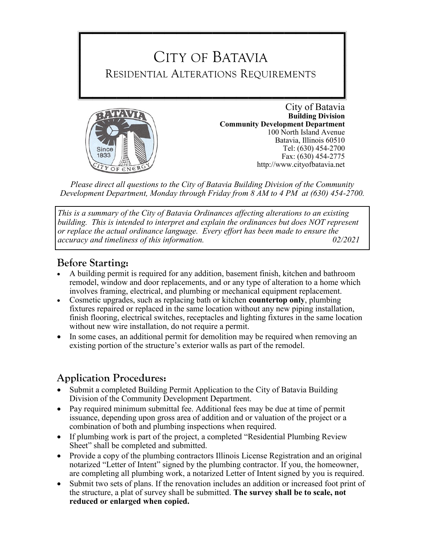



**Building Division Community Development Department** 100 North Island Avenue Batavia, Illinois 60510 Tel: (630) 454-2700 Fax: (630) 454-2775 http://www.cityofbatavia.net

*Please direct all questions to the City of Batavia Building Division of the Community Development Department, Monday through Friday from 8 AM to 4 PM at (630) 454-2700.*

*This is a summary of the City of Batavia Ordinances affecting alterations to an existing building. This is intended to interpret and explain the ordinances but does NOT represent or replace the actual ordinance language. Every effort has been made to ensure the accuracy and timeliness of this information. 02/2021*

## **Before Starting:**

- A building permit is required for any addition, basement finish, kitchen and bathroom remodel, window and door replacements, and or any type of alteration to a home which involves framing, electrical, and plumbing or mechanical equipment replacement.
- Cosmetic upgrades, such as replacing bath or kitchen **countertop only**, plumbing fixtures repaired or replaced in the same location without any new piping installation, finish flooring, electrical switches, receptacles and lighting fixtures in the same location without new wire installation, do not require a permit.
- In some cases, an additional permit for demolition may be required when removing an existing portion of the structure's exterior walls as part of the remodel.

## **Application Procedures:**

- Submit a completed Building Permit Application to the City of Batavia Building Division of the Community Development Department.
- Pay required minimum submittal fee. Additional fees may be due at time of permit issuance, depending upon gross area of addition and or valuation of the project or a combination of both and plumbing inspections when required.
- If plumbing work is part of the project, a completed "Residential Plumbing Review Sheet" shall be completed and submitted.
- Provide a copy of the plumbing contractors Illinois License Registration and an original notarized "Letter of Intent" signed by the plumbing contractor. If you, the homeowner, are completing all plumbing work, a notarized Letter of Intent signed by you is required.
- Submit two sets of plans. If the renovation includes an addition or increased foot print of the structure, a plat of survey shall be submitted. **The survey shall be to scale, not reduced or enlarged when copied.**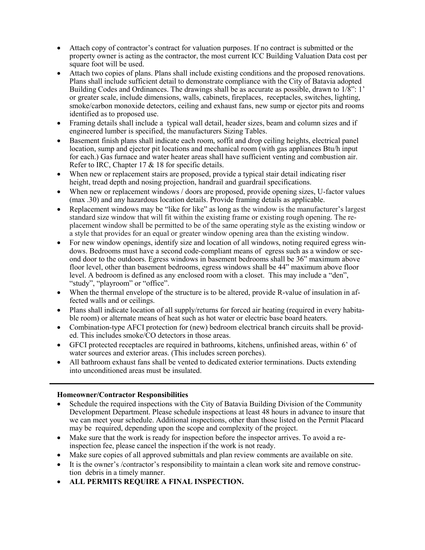- Attach copy of contractor's contract for valuation purposes. If no contract is submitted or the property owner is acting as the contractor, the most current ICC Building Valuation Data cost per square foot will be used.
- Attach two copies of plans. Plans shall include existing conditions and the proposed renovations. Plans shall include sufficient detail to demonstrate compliance with the City of Batavia adopted Building Codes and Ordinances. The drawings shall be as accurate as possible, drawn to  $1/8$ ": 1' or greater scale, include dimensions, walls, cabinets, fireplaces, receptacles, switches, lighting, smoke/carbon monoxide detectors, ceiling and exhaust fans, new sump or ejector pits and rooms identified as to proposed use.
- Framing details shall include a typical wall detail, header sizes, beam and column sizes and if engineered lumber is specified, the manufacturers Sizing Tables.
- Basement finish plans shall indicate each room, soffit and drop ceiling heights, electrical panel location, sump and ejector pit locations and mechanical room (with gas appliances Btu/h input for each.) Gas furnace and water heater areas shall have sufficient venting and combustion air. Refer to IRC, Chapter 17 & 18 for specific details.
- When new or replacement stairs are proposed, provide a typical stair detail indicating riser height, tread depth and nosing projection, handrail and guardrail specifications.
- When new or replacement windows / doors are proposed, provide opening sizes, U-factor values (max .30) and any hazardous location details. Provide framing details as applicable.
- Replacement windows may be "like for like" as long as the window is the manufacturer's largest standard size window that will fit within the existing frame or existing rough opening. The replacement window shall be permitted to be of the same operating style as the existing window or a style that provides for an equal or greater window opening area than the existing window.
- For new window openings, identify size and location of all windows, noting required egress windows. Bedrooms must have a second code-compliant means of egress such as a window or second door to the outdoors. Egress windows in basement bedrooms shall be 36" maximum above floor level, other than basement bedrooms, egress windows shall be 44" maximum above floor level. A bedroom is defined as any enclosed room with a closet. This may include a "den", "study", "playroom" or "office".
- When the thermal envelope of the structure is to be altered, provide R-value of insulation in affected walls and or ceilings.
- Plans shall indicate location of all supply/returns for forced air heating (required in every habitable room) or alternate means of heat such as hot water or electric base board heaters.
- Combination-type AFCI protection for (new) bedroom electrical branch circuits shall be provided. This includes smoke/CO detectors in those areas.
- GFCI protected receptacles are required in bathrooms, kitchens, unfinished areas, within 6' of water sources and exterior areas. (This includes screen porches).
- All bathroom exhaust fans shall be vented to dedicated exterior terminations. Ducts extending into unconditioned areas must be insulated.

## **Homeowner/Contractor Responsibilities**

- Schedule the required inspections with the City of Batavia Building Division of the Community Development Department. Please schedule inspections at least 48 hours in advance to insure that we can meet your schedule. Additional inspections, other than those listed on the Permit Placard may be required, depending upon the scope and complexity of the project.
- Make sure that the work is ready for inspection before the inspector arrives. To avoid a reinspection fee, please cancel the inspection if the work is not ready.
- Make sure copies of all approved submittals and plan review comments are available on site.
- It is the owner's /contractor's responsibility to maintain a clean work site and remove construction debris in a timely manner.
- **ALL PERMITS REQUIRE A FINAL INSPECTION.**